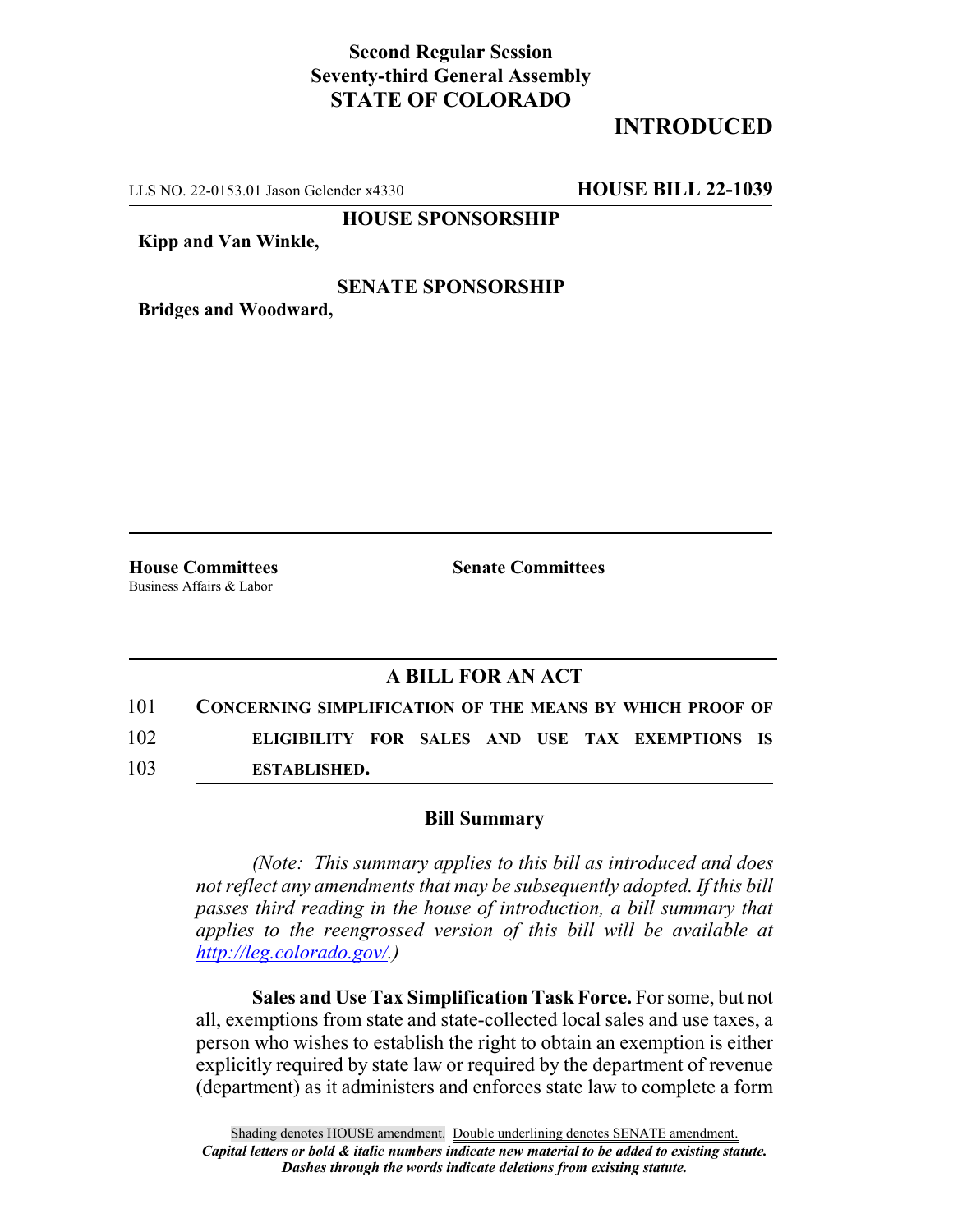## **Second Regular Session Seventy-third General Assembly STATE OF COLORADO**

# **INTRODUCED**

LLS NO. 22-0153.01 Jason Gelender x4330 **HOUSE BILL 22-1039**

**HOUSE SPONSORSHIP**

**Kipp and Van Winkle,**

### **SENATE SPONSORSHIP**

**Bridges and Woodward,**

Business Affairs & Labor

**House Committees Senate Committees**

## **A BILL FOR AN ACT**

101 **CONCERNING SIMPLIFICATION OF THE MEANS BY WHICH PROOF OF** 102 **ELIGIBILITY FOR SALES AND USE TAX EXEMPTIONS IS** 103 **ESTABLISHED.**

#### **Bill Summary**

*(Note: This summary applies to this bill as introduced and does not reflect any amendments that may be subsequently adopted. If this bill passes third reading in the house of introduction, a bill summary that applies to the reengrossed version of this bill will be available at http://leg.colorado.gov/.)*

**Sales and Use Tax Simplification Task Force.** For some, but not all, exemptions from state and state-collected local sales and use taxes, a person who wishes to establish the right to obtain an exemption is either explicitly required by state law or required by the department of revenue (department) as it administers and enforces state law to complete a form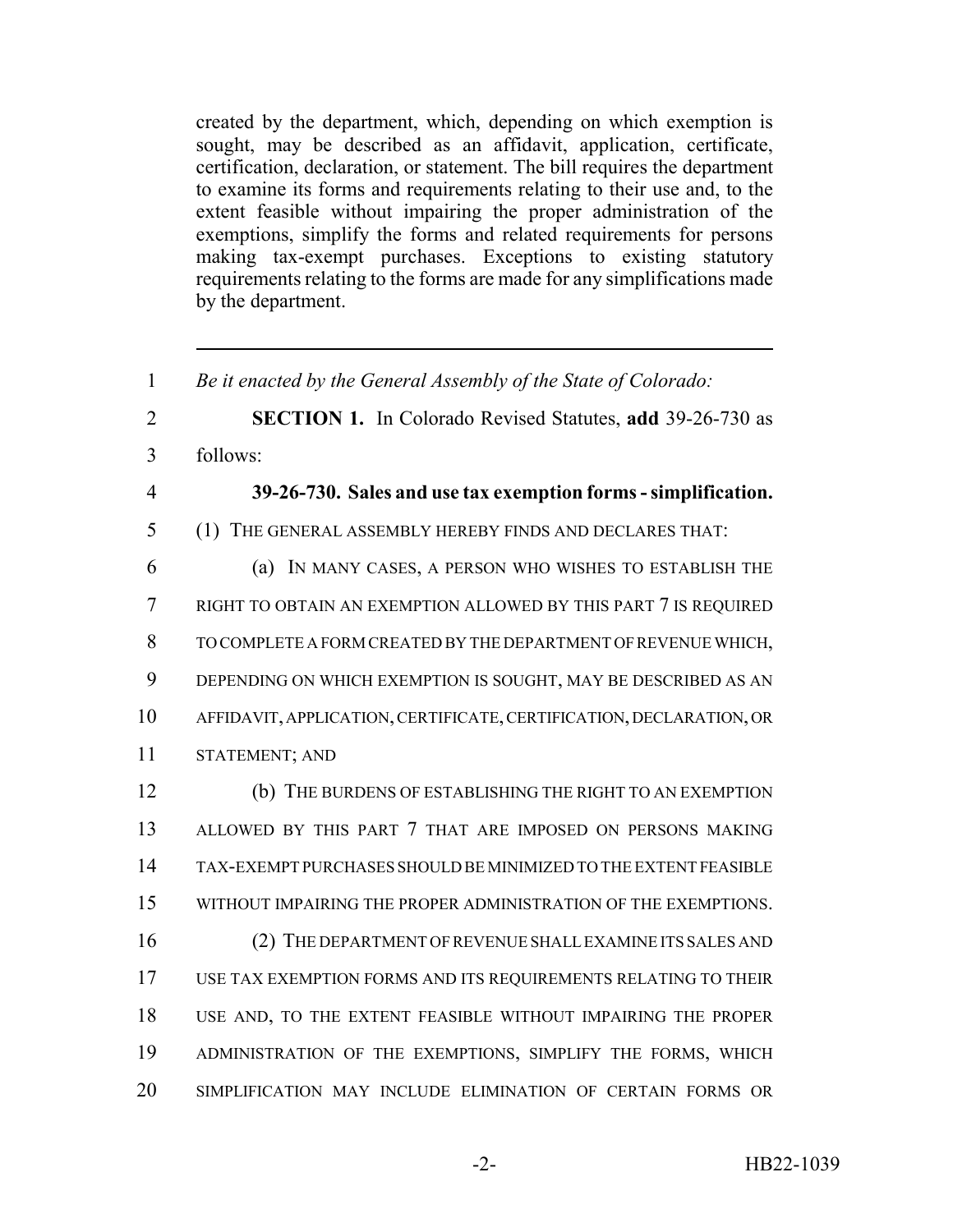created by the department, which, depending on which exemption is sought, may be described as an affidavit, application, certificate, certification, declaration, or statement. The bill requires the department to examine its forms and requirements relating to their use and, to the extent feasible without impairing the proper administration of the exemptions, simplify the forms and related requirements for persons making tax-exempt purchases. Exceptions to existing statutory requirements relating to the forms are made for any simplifications made by the department.

 *Be it enacted by the General Assembly of the State of Colorado:* **SECTION 1.** In Colorado Revised Statutes, **add** 39-26-730 as follows: **39-26-730. Sales and use tax exemption forms - simplification.** (1) THE GENERAL ASSEMBLY HEREBY FINDS AND DECLARES THAT: (a) IN MANY CASES, A PERSON WHO WISHES TO ESTABLISH THE RIGHT TO OBTAIN AN EXEMPTION ALLOWED BY THIS PART 7 IS REQUIRED TO COMPLETE A FORM CREATED BY THE DEPARTMENT OF REVENUE WHICH, DEPENDING ON WHICH EXEMPTION IS SOUGHT, MAY BE DESCRIBED AS AN AFFIDAVIT, APPLICATION, CERTIFICATE, CERTIFICATION, DECLARATION, OR STATEMENT; AND (b) THE BURDENS OF ESTABLISHING THE RIGHT TO AN EXEMPTION ALLOWED BY THIS PART 7 THAT ARE IMPOSED ON PERSONS MAKING TAX-EXEMPT PURCHASES SHOULD BE MINIMIZED TO THE EXTENT FEASIBLE WITHOUT IMPAIRING THE PROPER ADMINISTRATION OF THE EXEMPTIONS. (2) THE DEPARTMENT OF REVENUE SHALL EXAMINE ITS SALES AND USE TAX EXEMPTION FORMS AND ITS REQUIREMENTS RELATING TO THEIR USE AND, TO THE EXTENT FEASIBLE WITHOUT IMPAIRING THE PROPER ADMINISTRATION OF THE EXEMPTIONS, SIMPLIFY THE FORMS, WHICH SIMPLIFICATION MAY INCLUDE ELIMINATION OF CERTAIN FORMS OR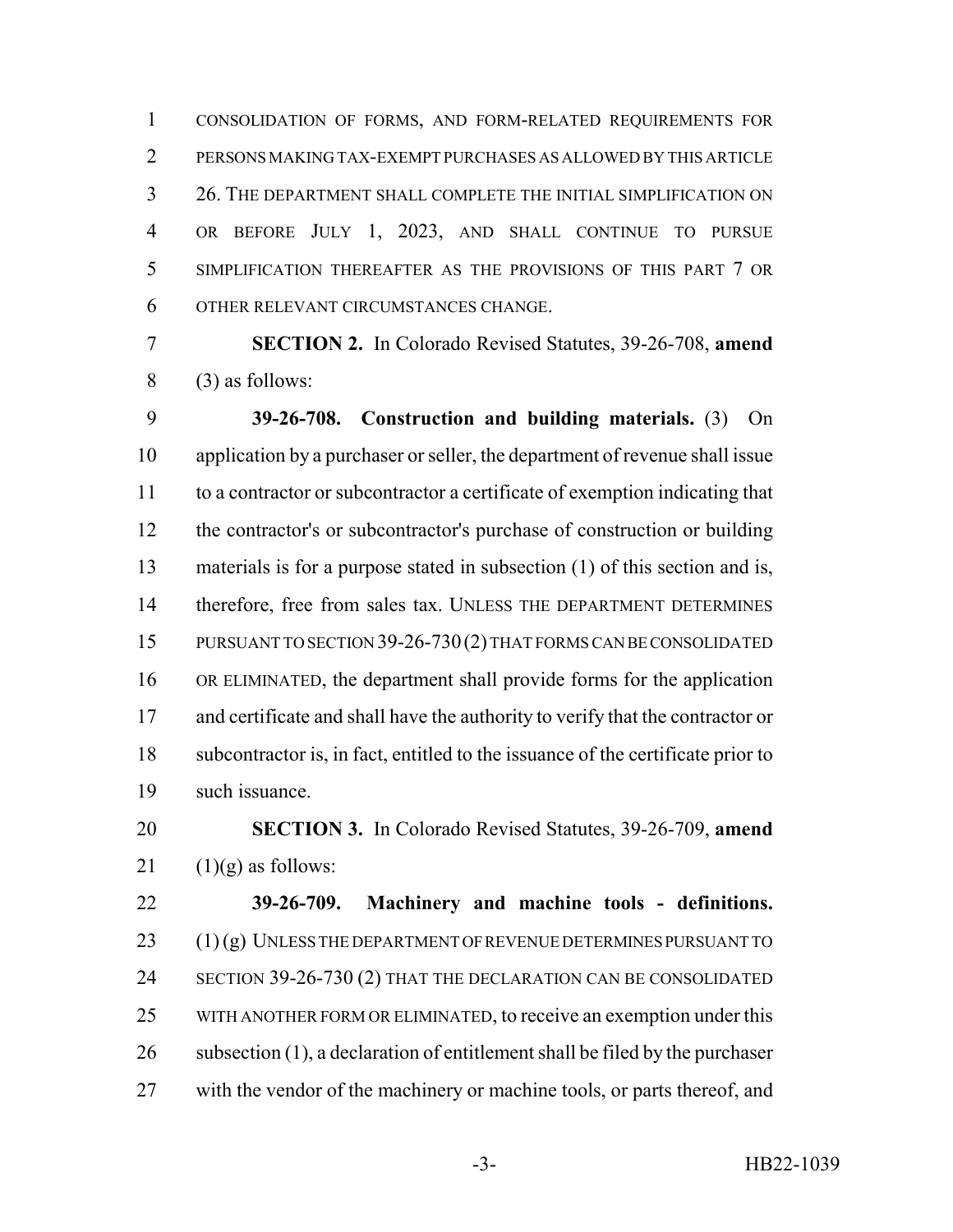CONSOLIDATION OF FORMS, AND FORM-RELATED REQUIREMENTS FOR PERSONS MAKING TAX-EXEMPT PURCHASES AS ALLOWED BY THIS ARTICLE 26. THE DEPARTMENT SHALL COMPLETE THE INITIAL SIMPLIFICATION ON OR BEFORE JULY 1, 2023, AND SHALL CONTINUE TO PURSUE SIMPLIFICATION THEREAFTER AS THE PROVISIONS OF THIS PART 7 OR OTHER RELEVANT CIRCUMSTANCES CHANGE.

 **SECTION 2.** In Colorado Revised Statutes, 39-26-708, **amend** (3) as follows:

 **39-26-708. Construction and building materials.** (3) On application by a purchaser or seller, the department of revenue shall issue to a contractor or subcontractor a certificate of exemption indicating that the contractor's or subcontractor's purchase of construction or building materials is for a purpose stated in subsection (1) of this section and is, 14 therefore, free from sales tax. UNLESS THE DEPARTMENT DETERMINES PURSUANT TO SECTION 39-26-730(2) THAT FORMS CAN BE CONSOLIDATED OR ELIMINATED, the department shall provide forms for the application 17 and certificate and shall have the authority to verify that the contractor or subcontractor is, in fact, entitled to the issuance of the certificate prior to such issuance.

# **SECTION 3.** In Colorado Revised Statutes, 39-26-709, **amend** 21  $(1)(g)$  as follows:

 **39-26-709. Machinery and machine tools - definitions.** (1) (g) UNLESS THE DEPARTMENT OF REVENUE DETERMINES PURSUANT TO SECTION 39-26-730 (2) THAT THE DECLARATION CAN BE CONSOLIDATED WITH ANOTHER FORM OR ELIMINATED, to receive an exemption under this subsection (1), a declaration of entitlement shall be filed by the purchaser 27 with the vendor of the machinery or machine tools, or parts thereof, and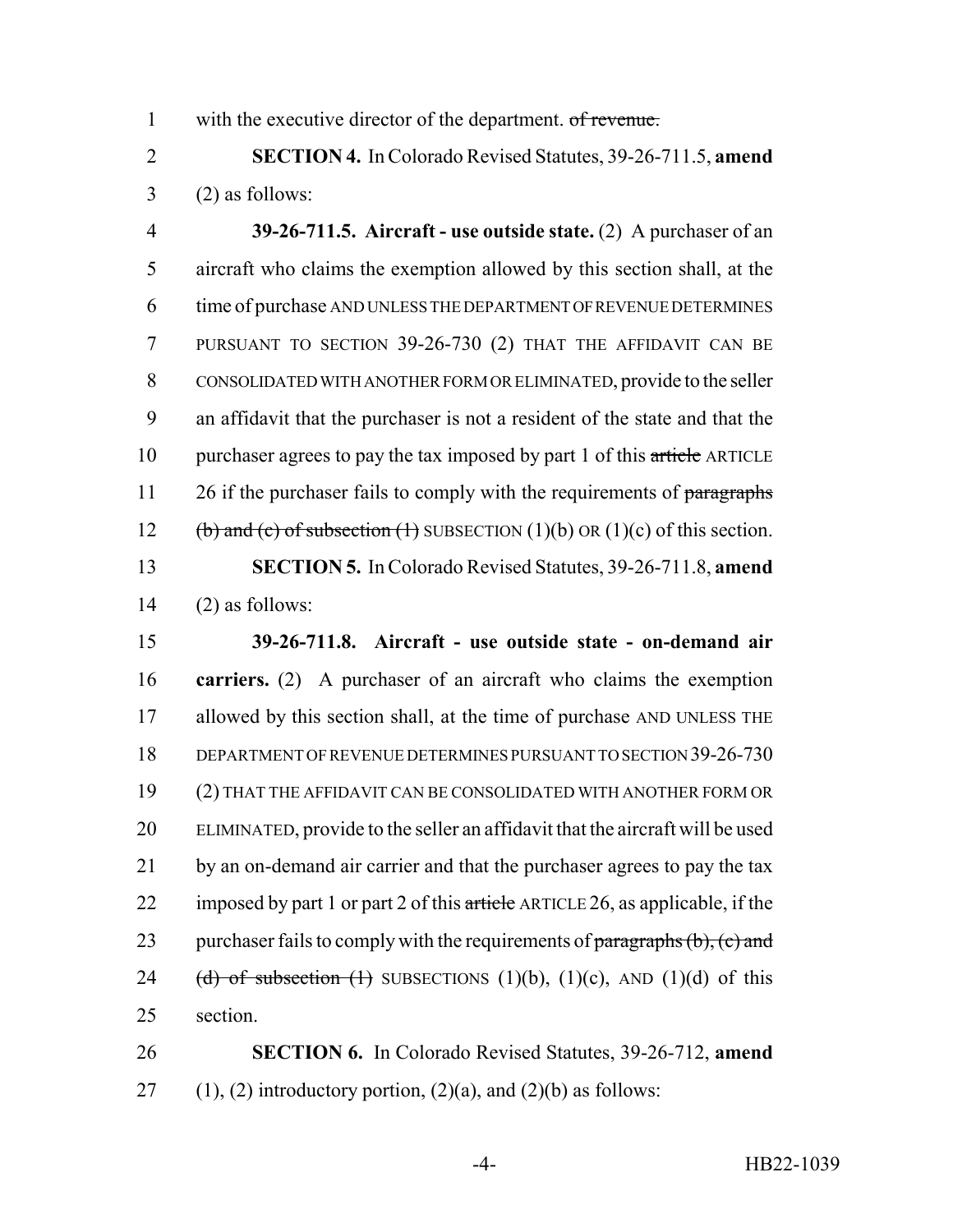1 with the executive director of the department. of revenue.

2 **SECTION 4.** In Colorado Revised Statutes, 39-26-711.5, **amend**  $3 \qquad (2)$  as follows:

 **39-26-711.5. Aircraft - use outside state.** (2) A purchaser of an aircraft who claims the exemption allowed by this section shall, at the time of purchase AND UNLESS THE DEPARTMENT OF REVENUE DETERMINES PURSUANT TO SECTION 39-26-730 (2) THAT THE AFFIDAVIT CAN BE CONSOLIDATED WITH ANOTHER FORM OR ELIMINATED, provide to the seller an affidavit that the purchaser is not a resident of the state and that the 10 purchaser agrees to pay the tax imposed by part 1 of this article ARTICLE 11 26 if the purchaser fails to comply with the requirements of paragraphs 12 (b) and (c) of subsection (1) SUBSECTION (1)(b) OR (1)(c) of this section. **SECTION 5.** In Colorado Revised Statutes, 39-26-711.8, **amend** (2) as follows:

15 **39-26-711.8. Aircraft - use outside state - on-demand air** 16 **carriers.** (2) A purchaser of an aircraft who claims the exemption 17 allowed by this section shall, at the time of purchase AND UNLESS THE 18 DEPARTMENT OF REVENUE DETERMINES PURSUANT TO SECTION 39-26-730 19 (2) THAT THE AFFIDAVIT CAN BE CONSOLIDATED WITH ANOTHER FORM OR 20 ELIMINATED, provide to the seller an affidavit that the aircraft will be used 21 by an on-demand air carrier and that the purchaser agrees to pay the tax 22 imposed by part 1 or part 2 of this article ARTICLE 26, as applicable, if the 23 purchaser fails to comply with the requirements of paragraphs  $(b)$ ,  $(c)$  and 24 (d) of subsection (1) SUBSECTIONS (1)(b), (1)(c), AND (1)(d) of this 25 section.

26 **SECTION 6.** In Colorado Revised Statutes, 39-26-712, **amend** 27 (1), (2) introductory portion,  $(2)(a)$ , and  $(2)(b)$  as follows: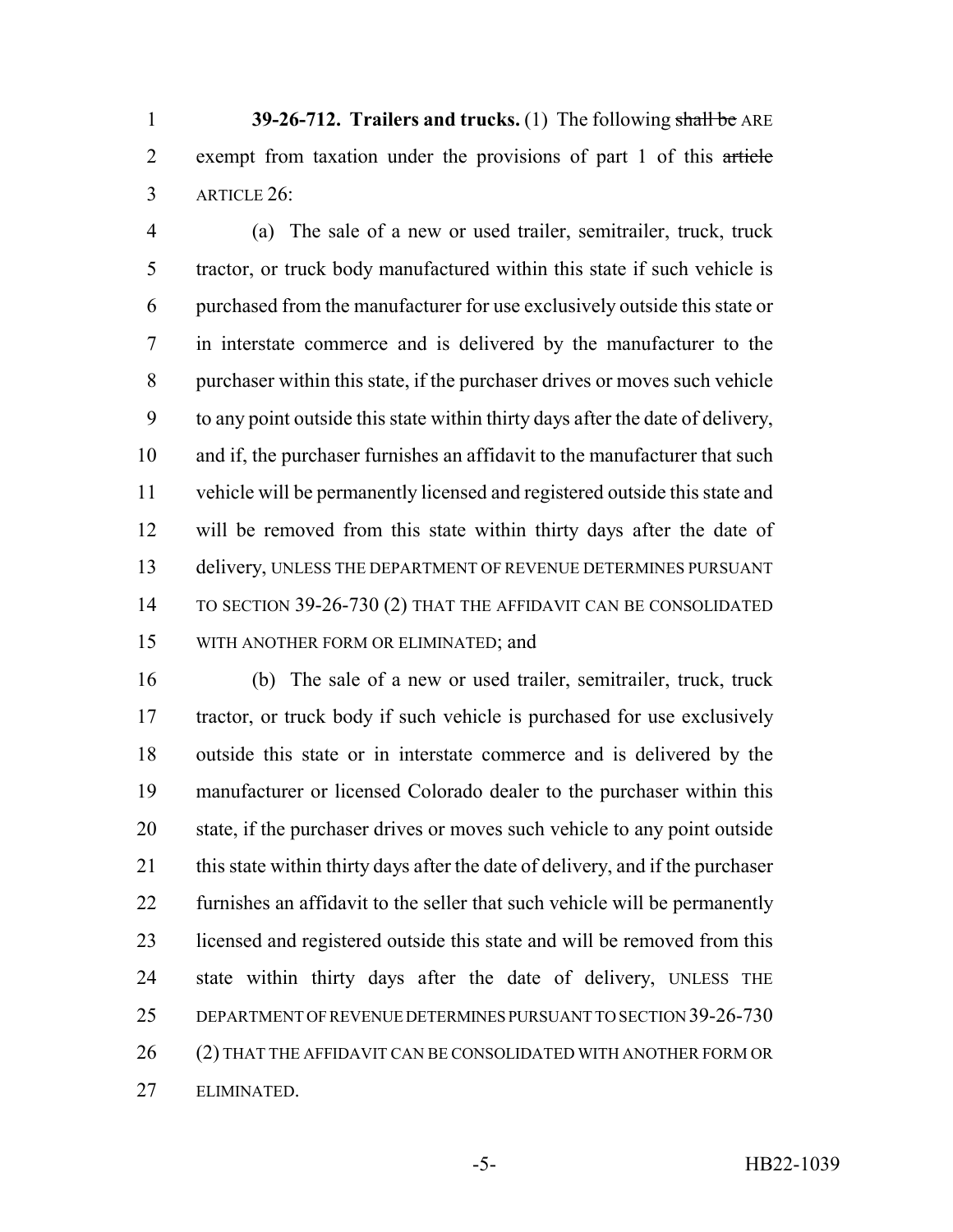**39-26-712. Trailers and trucks.** (1) The following shall be ARE 2 exempt from taxation under the provisions of part 1 of this article ARTICLE 26:

 (a) The sale of a new or used trailer, semitrailer, truck, truck tractor, or truck body manufactured within this state if such vehicle is purchased from the manufacturer for use exclusively outside this state or in interstate commerce and is delivered by the manufacturer to the purchaser within this state, if the purchaser drives or moves such vehicle to any point outside this state within thirty days after the date of delivery, and if, the purchaser furnishes an affidavit to the manufacturer that such vehicle will be permanently licensed and registered outside this state and will be removed from this state within thirty days after the date of delivery, UNLESS THE DEPARTMENT OF REVENUE DETERMINES PURSUANT 14 TO SECTION 39-26-730 (2) THAT THE AFFIDAVIT CAN BE CONSOLIDATED WITH ANOTHER FORM OR ELIMINATED; and

 (b) The sale of a new or used trailer, semitrailer, truck, truck tractor, or truck body if such vehicle is purchased for use exclusively outside this state or in interstate commerce and is delivered by the manufacturer or licensed Colorado dealer to the purchaser within this state, if the purchaser drives or moves such vehicle to any point outside 21 this state within thirty days after the date of delivery, and if the purchaser furnishes an affidavit to the seller that such vehicle will be permanently 23 licensed and registered outside this state and will be removed from this state within thirty days after the date of delivery, UNLESS THE DEPARTMENT OF REVENUE DETERMINES PURSUANT TO SECTION 39-26-730 26 (2) THAT THE AFFIDAVIT CAN BE CONSOLIDATED WITH ANOTHER FORM OR ELIMINATED.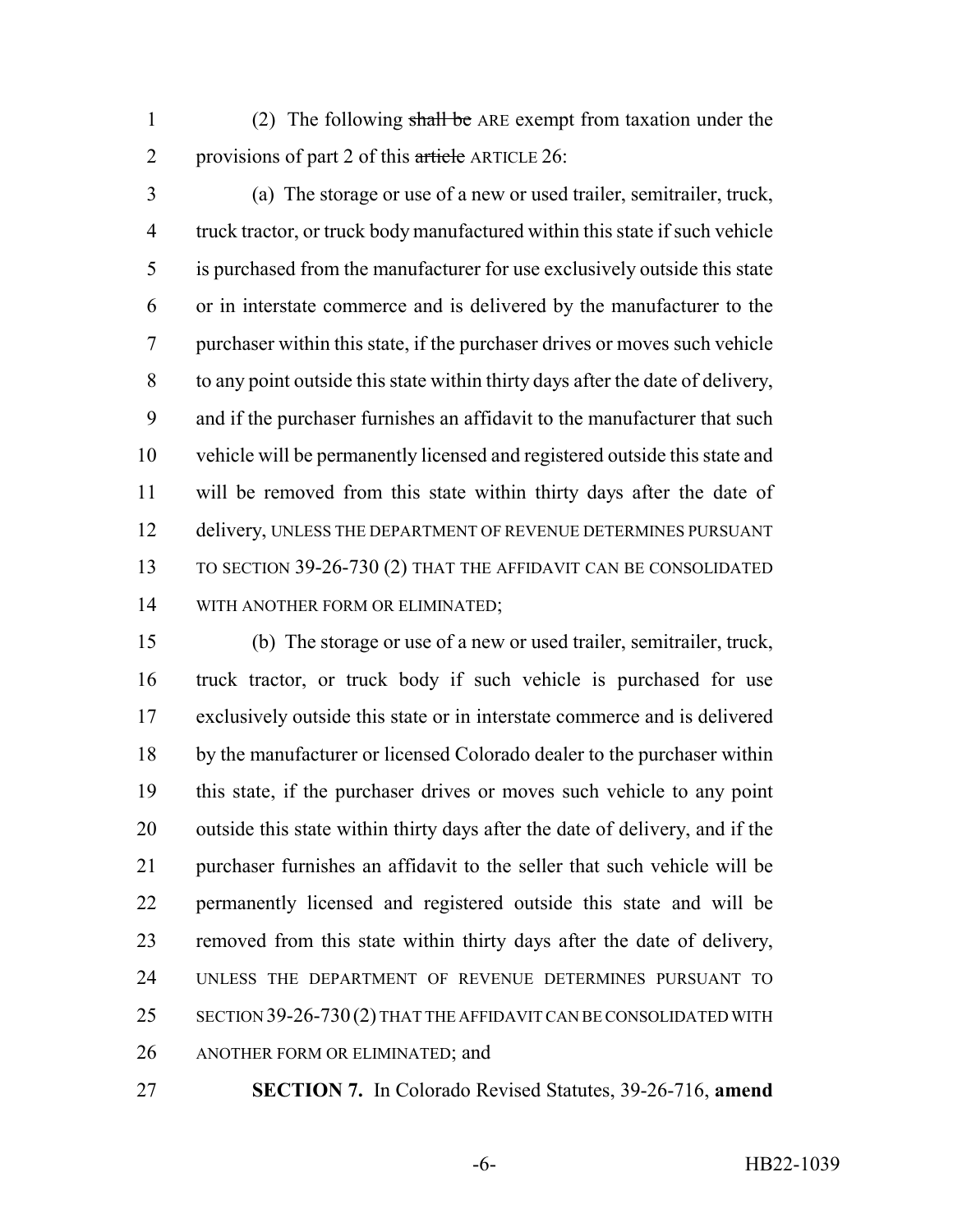- 1 (2) The following shall be ARE exempt from taxation under the 2 provisions of part 2 of this  $\frac{a \cdot \text{tr}_c}{a \cdot \text{tr}_c}$  ARTICLE 26:
- (a) The storage or use of a new or used trailer, semitrailer, truck, truck tractor, or truck body manufactured within this state if such vehicle is purchased from the manufacturer for use exclusively outside this state or in interstate commerce and is delivered by the manufacturer to the purchaser within this state, if the purchaser drives or moves such vehicle to any point outside this state within thirty days after the date of delivery, and if the purchaser furnishes an affidavit to the manufacturer that such vehicle will be permanently licensed and registered outside this state and will be removed from this state within thirty days after the date of delivery, UNLESS THE DEPARTMENT OF REVENUE DETERMINES PURSUANT TO SECTION 39-26-730 (2) THAT THE AFFIDAVIT CAN BE CONSOLIDATED WITH ANOTHER FORM OR ELIMINATED;

 (b) The storage or use of a new or used trailer, semitrailer, truck, truck tractor, or truck body if such vehicle is purchased for use exclusively outside this state or in interstate commerce and is delivered by the manufacturer or licensed Colorado dealer to the purchaser within this state, if the purchaser drives or moves such vehicle to any point outside this state within thirty days after the date of delivery, and if the purchaser furnishes an affidavit to the seller that such vehicle will be permanently licensed and registered outside this state and will be removed from this state within thirty days after the date of delivery, UNLESS THE DEPARTMENT OF REVENUE DETERMINES PURSUANT TO 25 SECTION 39-26-730 (2) THAT THE AFFIDAVIT CAN BE CONSOLIDATED WITH ANOTHER FORM OR ELIMINATED; and

**SECTION 7.** In Colorado Revised Statutes, 39-26-716, **amend**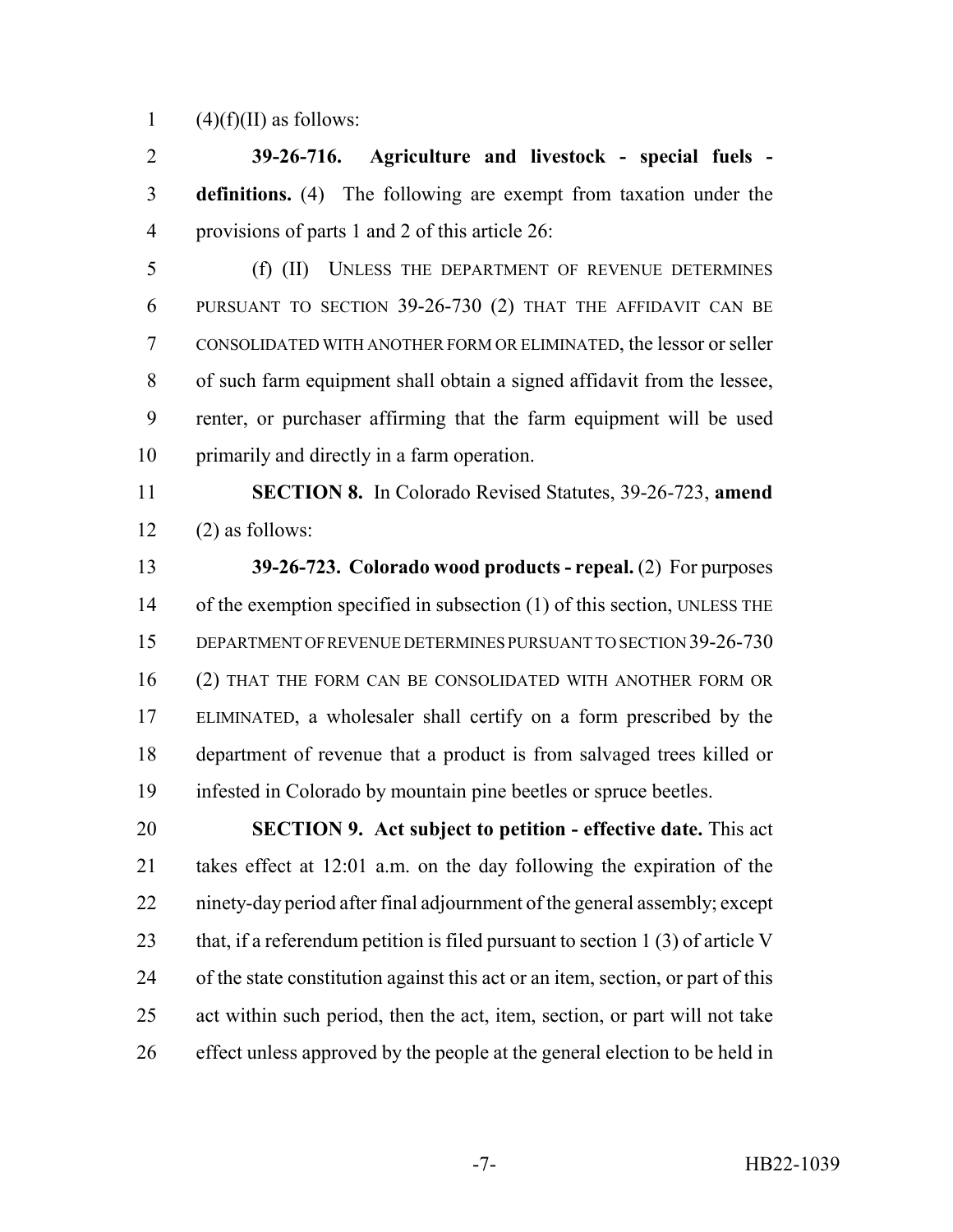1 (4)(f)(II) as follows:

 **39-26-716. Agriculture and livestock - special fuels - definitions.** (4) The following are exempt from taxation under the provisions of parts 1 and 2 of this article 26:

 (f) (II) UNLESS THE DEPARTMENT OF REVENUE DETERMINES PURSUANT TO SECTION 39-26-730 (2) THAT THE AFFIDAVIT CAN BE CONSOLIDATED WITH ANOTHER FORM OR ELIMINATED, the lessor or seller of such farm equipment shall obtain a signed affidavit from the lessee, renter, or purchaser affirming that the farm equipment will be used primarily and directly in a farm operation.

 **SECTION 8.** In Colorado Revised Statutes, 39-26-723, **amend**  $12 \qquad (2)$  as follows:

 **39-26-723. Colorado wood products - repeal.** (2) For purposes 14 of the exemption specified in subsection (1) of this section, UNLESS THE DEPARTMENT OF REVENUE DETERMINES PURSUANT TO SECTION 39-26-730 (2) THAT THE FORM CAN BE CONSOLIDATED WITH ANOTHER FORM OR ELIMINATED, a wholesaler shall certify on a form prescribed by the department of revenue that a product is from salvaged trees killed or infested in Colorado by mountain pine beetles or spruce beetles.

 **SECTION 9. Act subject to petition - effective date.** This act takes effect at 12:01 a.m. on the day following the expiration of the ninety-day period after final adjournment of the general assembly; except 23 that, if a referendum petition is filed pursuant to section 1 (3) of article V of the state constitution against this act or an item, section, or part of this act within such period, then the act, item, section, or part will not take effect unless approved by the people at the general election to be held in